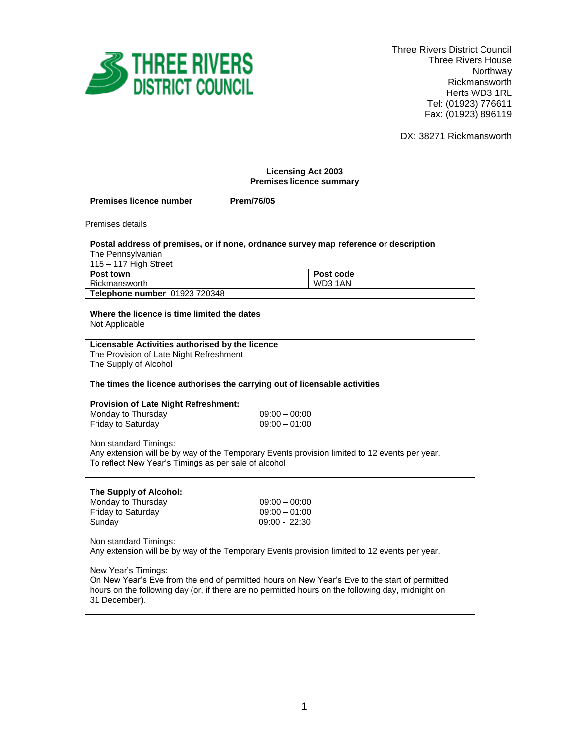

 Three Rivers District Council Three Rivers House Northway Rickmansworth Herts WD3 1RL Tel: (01923) 776611 Fax: (01923) 896119

DX: 38271 Rickmansworth

# **Licensing Act 2003 Premises licence summary**

| Premises licence number                                                                           | Prem/76/05      |  |
|---------------------------------------------------------------------------------------------------|-----------------|--|
| Premises details                                                                                  |                 |  |
| Postal address of premises, or if none, ordnance survey map reference or description              |                 |  |
| The Pennsylvanian                                                                                 |                 |  |
| 115 - 117 High Street                                                                             |                 |  |
| Post town                                                                                         | Post code       |  |
| Rickmansworth<br>Telephone number 01923 720348                                                    | WD3 1AN         |  |
|                                                                                                   |                 |  |
| Where the licence is time limited the dates                                                       |                 |  |
| Not Applicable                                                                                    |                 |  |
|                                                                                                   |                 |  |
| Licensable Activities authorised by the licence                                                   |                 |  |
| The Provision of Late Night Refreshment                                                           |                 |  |
| The Supply of Alcohol                                                                             |                 |  |
|                                                                                                   |                 |  |
| The times the licence authorises the carrying out of licensable activities                        |                 |  |
|                                                                                                   |                 |  |
| <b>Provision of Late Night Refreshment:</b><br>Monday to Thursday                                 | $09:00 - 00:00$ |  |
| Friday to Saturday                                                                                | $09:00 - 01:00$ |  |
|                                                                                                   |                 |  |
| Non standard Timings:                                                                             |                 |  |
| Any extension will be by way of the Temporary Events provision limited to 12 events per year.     |                 |  |
| To reflect New Year's Timings as per sale of alcohol                                              |                 |  |
|                                                                                                   |                 |  |
|                                                                                                   |                 |  |
| The Supply of Alcohol:                                                                            |                 |  |
| Monday to Thursday                                                                                | $09:00 - 00:00$ |  |
| Friday to Saturday                                                                                | $09:00 - 01:00$ |  |
| Sunday                                                                                            | $09:00 - 22:30$ |  |
| Non standard Timings:                                                                             |                 |  |
| Any extension will be by way of the Temporary Events provision limited to 12 events per year.     |                 |  |
|                                                                                                   |                 |  |
| New Year's Timings:                                                                               |                 |  |
| On New Year's Eve from the end of permitted hours on New Year's Eve to the start of permitted     |                 |  |
| hours on the following day (or, if there are no permitted hours on the following day, midnight on |                 |  |
| 31 December).                                                                                     |                 |  |
|                                                                                                   |                 |  |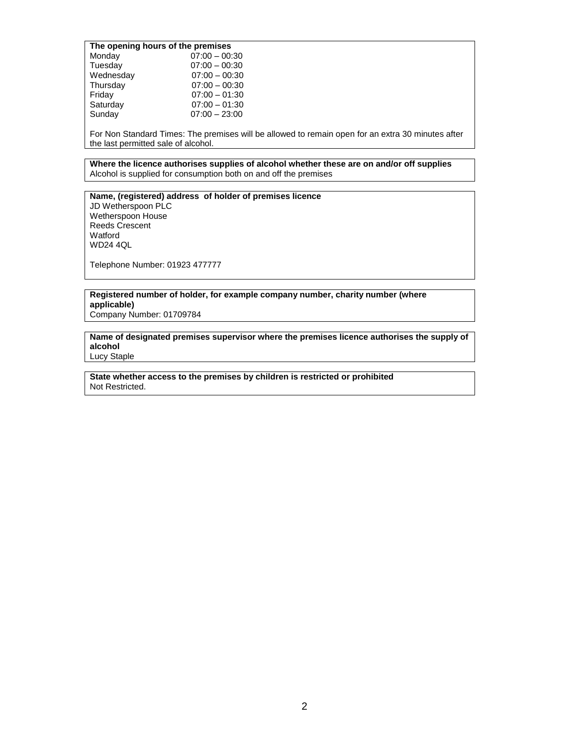## **The opening hours of the premises**

| Monday    | $07:00 - 00:30$ |
|-----------|-----------------|
| Tuesday   | $07:00 - 00:30$ |
| Wednesday | $07:00 - 00:30$ |
| Thursday  | $07:00 - 00:30$ |
| Friday    | $07:00 - 01:30$ |
| Saturday  | $07:00 - 01:30$ |
| Sunday    | $07:00 - 23:00$ |
|           |                 |

For Non Standard Times: The premises will be allowed to remain open for an extra 30 minutes after the last permitted sale of alcohol.

**Where the licence authorises supplies of alcohol whether these are on and/or off supplies** Alcohol is supplied for consumption both on and off the premises

**Name, (registered) address of holder of premises licence** JD Wetherspoon PLC Wetherspoon House Reeds Crescent Watford WD24 4QL

Telephone Number: 01923 477777

**Registered number of holder, for example company number, charity number (where applicable)**

Company Number: 01709784

**Name of designated premises supervisor where the premises licence authorises the supply of alcohol** Lucy Staple

**State whether access to the premises by children is restricted or prohibited** Not Restricted.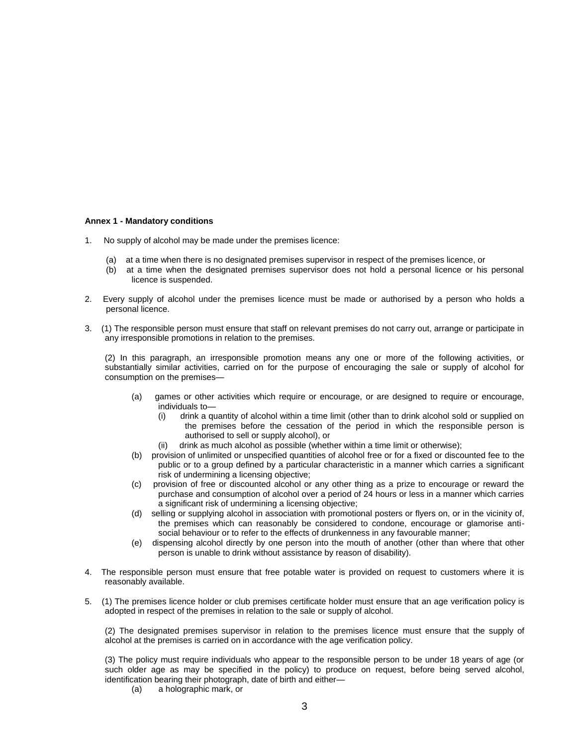### **Annex 1 - Mandatory conditions**

- 1. No supply of alcohol may be made under the premises licence:
	- (a) at a time when there is no designated premises supervisor in respect of the premises licence, or
	- (b) at a time when the designated premises supervisor does not hold a personal licence or his personal licence is suspended.
- 2. Every supply of alcohol under the premises licence must be made or authorised by a person who holds a personal licence.
- 3. (1) The responsible person must ensure that staff on relevant premises do not carry out, arrange or participate in any irresponsible promotions in relation to the premises.

(2) In this paragraph, an irresponsible promotion means any one or more of the following activities, or substantially similar activities, carried on for the purpose of encouraging the sale or supply of alcohol for consumption on the premises—

- (a) games or other activities which require or encourage, or are designed to require or encourage, individuals to—
	- (i) drink a quantity of alcohol within a time limit (other than to drink alcohol sold or supplied on the premises before the cessation of the period in which the responsible person is authorised to sell or supply alcohol), or
	- (ii) drink as much alcohol as possible (whether within a time limit or otherwise);
- (b) provision of unlimited or unspecified quantities of alcohol free or for a fixed or discounted fee to the public or to a group defined by a particular characteristic in a manner which carries a significant risk of undermining a licensing objective;
- (c) provision of free or discounted alcohol or any other thing as a prize to encourage or reward the purchase and consumption of alcohol over a period of 24 hours or less in a manner which carries a significant risk of undermining a licensing objective;
- (d) selling or supplying alcohol in association with promotional posters or flyers on, or in the vicinity of, the premises which can reasonably be considered to condone, encourage or glamorise antisocial behaviour or to refer to the effects of drunkenness in any favourable manner;
- (e) dispensing alcohol directly by one person into the mouth of another (other than where that other person is unable to drink without assistance by reason of disability).
- 4. The responsible person must ensure that free potable water is provided on request to customers where it is reasonably available.
- 5. (1) The premises licence holder or club premises certificate holder must ensure that an age verification policy is adopted in respect of the premises in relation to the sale or supply of alcohol.

(2) The designated premises supervisor in relation to the premises licence must ensure that the supply of alcohol at the premises is carried on in accordance with the age verification policy.

(3) The policy must require individuals who appear to the responsible person to be under 18 years of age (or such older age as may be specified in the policy) to produce on request, before being served alcohol, identification bearing their photograph, date of birth and either—

(a) a holographic mark, or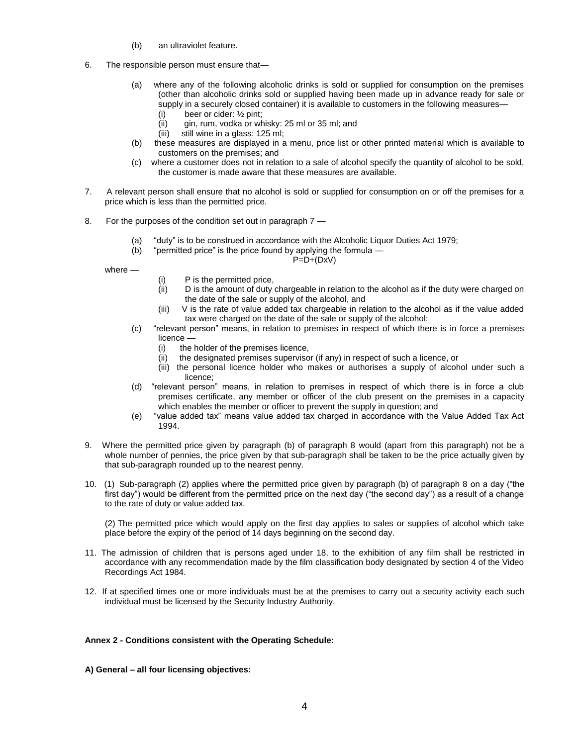- (b) an ultraviolet feature.
- 6. The responsible person must ensure that—
	- (a) where any of the following alcoholic drinks is sold or supplied for consumption on the premises (other than alcoholic drinks sold or supplied having been made up in advance ready for sale or supply in a securely closed container) it is available to customers in the following measures—
		- (i) beer or cider: ½ pint;
		- (ii) gin, rum, vodka or whisky: 25 ml or 35 ml; and
		- (iii) still wine in a glass: 125 ml;
	- (b) these measures are displayed in a menu, price list or other printed material which is available to customers on the premises; and
	- (c) where a customer does not in relation to a sale of alcohol specify the quantity of alcohol to be sold, the customer is made aware that these measures are available.
- 7. A relevant person shall ensure that no alcohol is sold or supplied for consumption on or off the premises for a price which is less than the permitted price.
- 8. For the purposes of the condition set out in paragraph 7
	- (a) "duty" is to be construed in accordance with the Alcoholic Liquor Duties Act 1979;
	- (b) "permitted price" is the price found by applying the formula —

## $P=D+(DxV)$

where —

- (i) P is the permitted price,
- (ii) D is the amount of duty chargeable in relation to the alcohol as if the duty were charged on the date of the sale or supply of the alcohol, and
- (iii) V is the rate of value added tax chargeable in relation to the alcohol as if the value added tax were charged on the date of the sale or supply of the alcohol;
- (c) "relevant person" means, in relation to premises in respect of which there is in force a premises licence —
	- (i) the holder of the premises licence,
	- (ii) the designated premises supervisor (if any) in respect of such a licence, or
	- (iii) the personal licence holder who makes or authorises a supply of alcohol under such a licence;
- (d) "relevant person" means, in relation to premises in respect of which there is in force a club premises certificate, any member or officer of the club present on the premises in a capacity which enables the member or officer to prevent the supply in question; and
- (e) "value added tax" means value added tax charged in accordance with the Value Added Tax Act 1994.
- 9. Where the permitted price given by paragraph (b) of paragraph 8 would (apart from this paragraph) not be a whole number of pennies, the price given by that sub-paragraph shall be taken to be the price actually given by that sub-paragraph rounded up to the nearest penny.
- 10. (1) Sub-paragraph (2) applies where the permitted price given by paragraph (b) of paragraph 8 on a day ("the first day") would be different from the permitted price on the next day ("the second day") as a result of a change to the rate of duty or value added tax.

(2) The permitted price which would apply on the first day applies to sales or supplies of alcohol which take place before the expiry of the period of 14 days beginning on the second day.

- 11. The admission of children that is persons aged under 18, to the exhibition of any film shall be restricted in accordance with any recommendation made by the film classification body designated by section 4 of the Video Recordings Act 1984.
- 12. If at specified times one or more individuals must be at the premises to carry out a security activity each such individual must be licensed by the Security Industry Authority.

## **Annex 2 - Conditions consistent with the Operating Schedule:**

**A) General – all four licensing objectives:**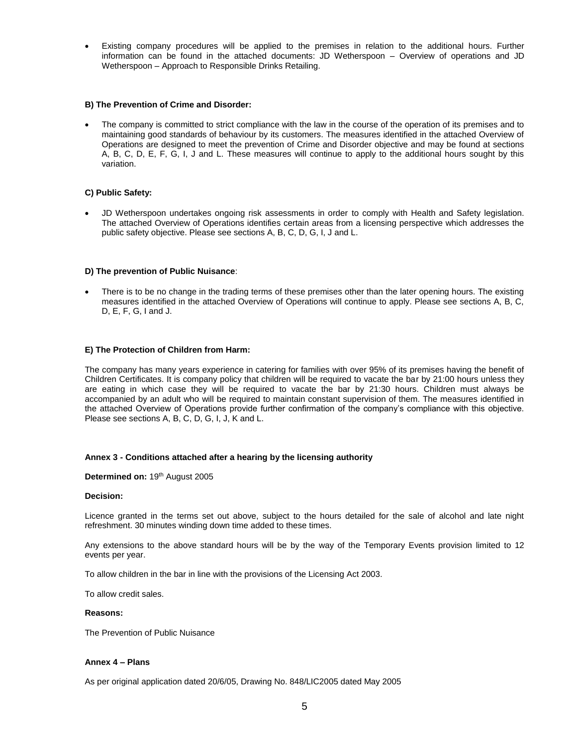Existing company procedures will be applied to the premises in relation to the additional hours. Further information can be found in the attached documents: JD Wetherspoon – Overview of operations and JD Wetherspoon – Approach to Responsible Drinks Retailing.

## **B) The Prevention of Crime and Disorder:**

 The company is committed to strict compliance with the law in the course of the operation of its premises and to maintaining good standards of behaviour by its customers. The measures identified in the attached Overview of Operations are designed to meet the prevention of Crime and Disorder objective and may be found at sections A, B, C, D, E, F, G, I, J and L. These measures will continue to apply to the additional hours sought by this variation.

## **C) Public Safety:**

 JD Wetherspoon undertakes ongoing risk assessments in order to comply with Health and Safety legislation. The attached Overview of Operations identifies certain areas from a licensing perspective which addresses the public safety objective. Please see sections A, B, C, D, G, I, J and L.

### **D) The prevention of Public Nuisance**:

 There is to be no change in the trading terms of these premises other than the later opening hours. The existing measures identified in the attached Overview of Operations will continue to apply. Please see sections A, B, C, D, E, F, G, I and J.

### **E) The Protection of Children from Harm:**

The company has many years experience in catering for families with over 95% of its premises having the benefit of Children Certificates. It is company policy that children will be required to vacate the bar by 21:00 hours unless they are eating in which case they will be required to vacate the bar by 21:30 hours. Children must always be accompanied by an adult who will be required to maintain constant supervision of them. The measures identified in the attached Overview of Operations provide further confirmation of the company's compliance with this objective. Please see sections A, B, C, D, G, I, J, K and L.

### **Annex 3 - Conditions attached after a hearing by the licensing authority**

### Determined on: 19<sup>th</sup> August 2005

### **Decision:**

Licence granted in the terms set out above, subject to the hours detailed for the sale of alcohol and late night refreshment. 30 minutes winding down time added to these times.

Any extensions to the above standard hours will be by the way of the Temporary Events provision limited to 12 events per year.

To allow children in the bar in line with the provisions of the Licensing Act 2003.

To allow credit sales.

### **Reasons:**

The Prevention of Public Nuisance

### **Annex 4 – Plans**

As per original application dated 20/6/05, Drawing No. 848/LIC2005 dated May 2005